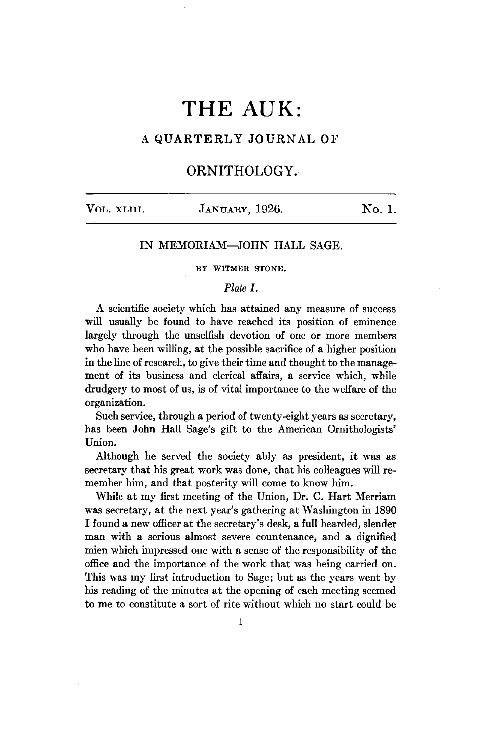# **THE AUK:**

### A QUARTERLY JOURNAL OF

## **ORNITHOLOGY.**

| VOL. XLIII. | JANUARY, 1926. | No. 1. |
|-------------|----------------|--------|
|             |                |        |

#### **IN MEMORIAM--JOHN HALL SAGE.**

#### **BY WITMER STONE,**

#### **Plate I.**

**A scientific society which has attained any measure of success will usually be found to have reached its position of eminence largely through the unselfish devotion of one or more members who have been willing, at the possible sacrifice of a higher position in the line of research, to give their time and thought to the management of its business and clerical affairs, a service which, while drudgery to most of us, is of vital importance to the welfare of the organization.** 

**Such service, through a period of twenty-eight years as secretary, has been John Hall Sage's gift to the American Ornithologists' Union.** 

**Although he served the society ably as president, it was as secretary that his great work was done, that his colleagues will remember him, and that posterity will come to know him.** 

**While at my first meeting of the Union, Dr. C. Hart Merriam was secretary, at the next year's gathering at Washington in 1890 I found a new officer at the secretary's desk, a full bearded, slender man with a serious almost severe countenance, and a dignified mien which impressed one with a sense of the responsibility of the office and the importance of the work that was being carried on. This was my first introduction to Sage; but as the years went by his reading of the minutes at the opening of each meeting seemed to me to constitute a sort of rite without which no start could be**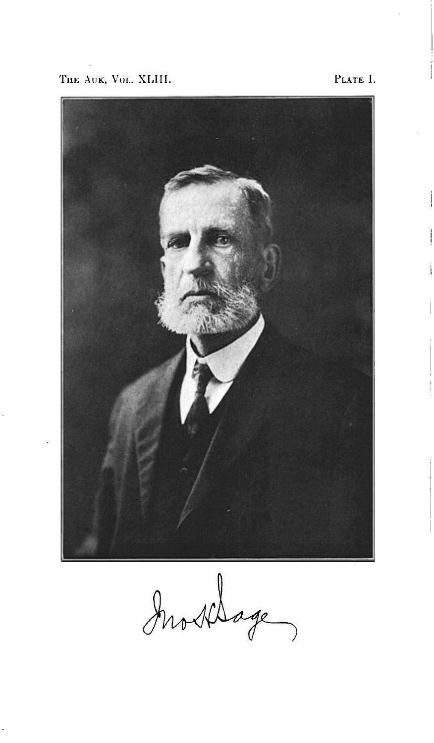



Anoxhage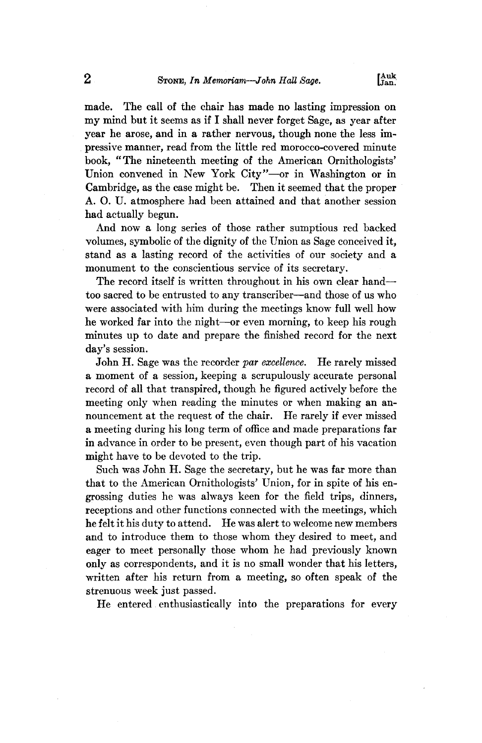**made. The call of the chair has made no lasting impression on my mind but it seems as if I shall never forget Sage, as year after year he arose, and in a rather nervous, though none the less impressive manner, read from the little red morocco-covered minute book, "The nineteenth meeting of the American Ornithologists'**  Union convened in New York City"---or in Washington or in **Cambridge, as the case might be. Then it seemed that the proper A. O. U. atmosphere had been attained and that another session had actually begun.** 

**And now a long series of those rather sumptious red backed volumes, symbolic of the dignity of the Union as Sage conceived it, stand as a lasting record of the activities of our society and a monument to the conscientious service of its secretary.** 

**The record itself is written throughout in his own clear hand- too sacred to be entrusted to any transcriber--and those of us who were associated with him during the meetings know full well how he worked far into the night--or even morning, to keep his rough minutes up to date and prepare the finished record for the next day's session.** 

John H. Sage was the recorder par excellence. He rarely missed **a moment of a session, keeping a scrupulously accurate personal record of all that transpired, though he figured actively before the meeting only when reading the minutes or when making an announcement at the request of the chair. lie rarely if ever missed a meeting during his long term of office and made preparations far in advance in order to be present, even though part of his vacation might have to be devoted to the trip.** 

Such was John H. Sage the secretary, but he was far more than **that to the American Ornithologists' Union, for in spite of his engrossing duties he was always keen for the field trips, dinners, receptions and other functions connected with the meetings, which he felt it his duty to attend. He was alert to welcome new members and to introduce them to those whom they desired to meet, and eager to meet personally those whom he had previously known only as correspondents, and it is no small wonder that his letters, written after his return from a meeting, so often speak of the strenuous week just passed.** 

**lie entered enthusiastically into the preparations for every**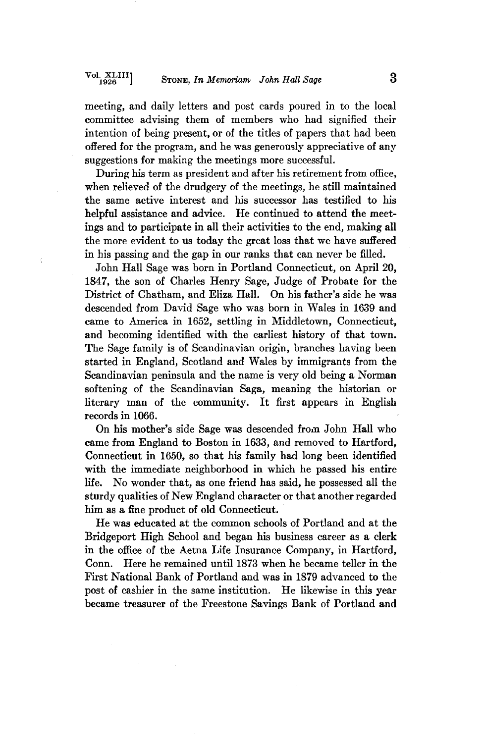**meeting, and daily letters and post cards poured in to the local committee advising them of members who had signified their intention of being present, or of the titles of papers that had been offered for the program, and he was generously appreciative of any suggestions for making the meetings more successful.** 

**During his term as president and after his retirement from office, when relieved of the drudgery of the meetings, he still maintained the same active interest and his successor has testified to his helpful assistance and advice. He continued to attend the meetings and to participate in all their activities to the end, making all the more evident to us today the great loss that we have suffered in his passing and the gap in our ranks that can never be filled.** 

**John Hall Sage was born in Portland Connecticut, on April 20, 1847, the son of Charles Henry Sage, Judge of Probate for the District of Chatham, and Eliza Hall. On his father's side he was descended from David Sage who was born in Wales in 1639 and came to America in 1652, settling in Middletown, Connecticut, and becoming identified with the earliest history of that town. The Sage family is of Scandinavian origin, branches having been started in England, Scotland and Wales by immigrants from the Scandinavian peninsula and the name is very old being a Norman softening of the Scandinavian Saga, meaning the historian or literary man of the community. It first appears in English records in 1066.** 

On his mother's side Sage was descended from John Hall who **came from England to Boston in 1633, and removed to Hartford, Connecticut in 1650, so that his family had long been identified with the immediate neighborhood in which he passed his entire life. No wonder that, as one friend has said, he possessed all the sturdy qualities of New England character or that another regarded him as a fine product of old Connecticut.** 

**He was educated at the common schools of Portland and at the Bridgeport High School and began his business career as a clerk in the office of the Aetna Life Insurance Company, in Hartford, Conn. Here he remained until 1873 when he became teller in the First National Bank of Portland and was in 1879 advanced to the post of cashier in the same institution. He likewise in this year became treasurer of the Freestone Savings Bank of Portland and**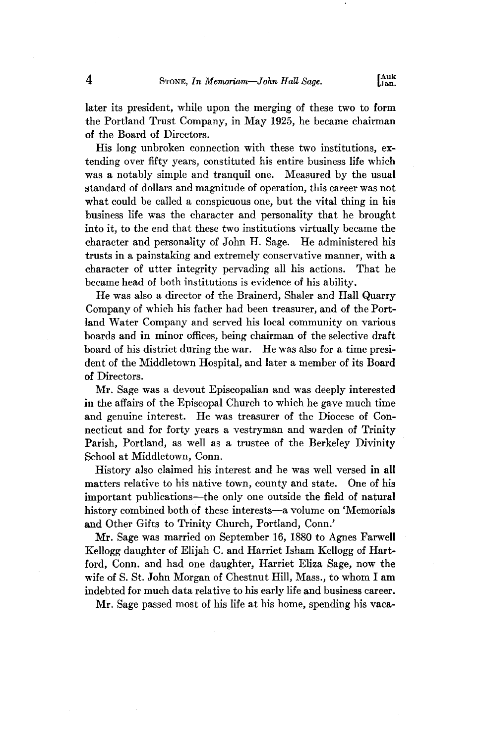**later its president, while upon the merging of these two to form the Portland Trust Company, in May 1925, he became chairman of the Board of Directors.** 

**His long unbroken connection with these two institutions, extending over fifty years, constituted his entire business life which was a notably simple and tranquil one. Measured by the usual standard of dollars and magnitude of operation, this career was not what could be called a conspicuous one, but the vital thing in his business life was the character and personality that he brought into it, to the end that these two institutions virtually became the character and personality of John H. Sage. He administered his trusts in a painstaking and extremely conservative manner, with a character of utter integrity pervading all his actions. That he became head of both institutions is evidence of his ability.** 

**He was also a director of the Brainerd, Shaler and Hall Quarry Company of which his father had been treasurer, and of the Portland Water Company and served his local community on various boards and in minor offices, being chairman of the selective draft board of his district during the war. He was also for a time president of the Middletown Hospital, and later a member of its Board of Directors.** 

**Mr. Sage was a devout Episcopalian and was deeply interested in the affairs of the Episcopal Church to which he gave much time and genuine interest. He was treasurer of the Diocese of Connecticut and for forty years a vestryman and warden of Trinity Parish, Portland, as well as a trustee of the Berkeley Divinity School at Middletown, Conn.** 

**History also claimed his interest and he was well versed in all matters relative to his native town, county and state. One of his important publications--the only one outside the field of natural history combined both of these interests--a volume on 'Memorials and Other Gifts to Trinity Church, Portland, Conn.'** 

**Mr. Sage was married on September 16, 1880 to Agnes Farwell Kellogg daughter of Elijah C. and Harriet Isham Kellogg of Hartford, Conn. and had one daughter, Harriet Eliza Sage, now the wife of S. St. John Morgan of Chestnut Hill, Mass., to whom I am indebted for much data relative to his early life and business career.** 

Mr. Sage passed most of his life at his home, spending his vaca-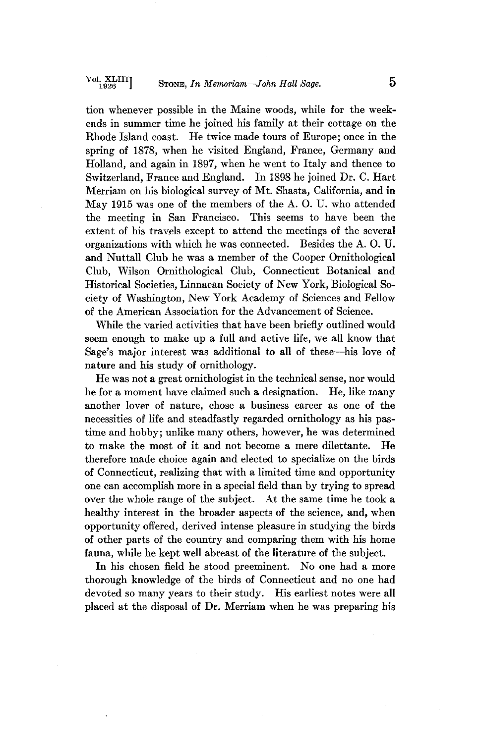**tion whenever possible in the Maine woods, while for the weekends in summer time he joined his family at their cottage on the Rhode Island coast. He twice made tours of Europe; once in the spring of 1878, when he visited England, France, Germany and Holland, and again in 1897, when he went to Italy and thence to Switzerland, France and England. In 1898 he joined Dr. C. Hart Merriam on his biological survey of Mt. Shasta, California, and in May 1915 was one of the members of the A. O. U. who attended the meeting in San Francisco. This seems to have been the**  extent of his travels except to attend the meetings of the several organizations with which he was connected. Besides the A.O.U. **organizations with which he was connected. and Nuttall Club he was a member of the Cooper Ornithological Club, Wilson Ornithological Club, Connecticut Botanical and I-Iistorieal Soeieties, Linnaean Society of New York, Biological Soeiety of Washington, New York Academy of Sciences and Fellow of the American Association for the Advancement of Science.** 

While the varied activities that have been briefly outlined would **seem enough to make up a full and active life, we all know that**  Sage's major interest was additional to all of these—his love of **nature and his study of ornithology.** 

**He was not a great ornithologist in the technical sense, nor would**  he for a moment have claimed such a designation. He, like many **another lover of nature, chose a business career as one of the necessities of llfe and steadfastly regarded ornithology as his pastime and hobby; unlike many others, however, he was determined to make the most of it and not become a mere dilettante. He therefore made choice again and elected to specialize on the birds of Connecticut, realizing that with a limited time and opportunity one can accomplish more in a special field than by trying to spread over the whole range of the subject. At the same time he took a healthy interest in the broader aspects of the science, and, when opportunity offered, derived intense pleasure in studying the birds of other parts of the country and comparing them with his home fauna, while he kept well abreast of the literature of the subject.** 

**In his chosen field he stood preeminent. No one had a more**  thorough knowledge of the birds of Connecticut and no one had **devoted so many years to their study. His earliest notes were all placed at the disposal of Dr. Merriam when he was preparing his**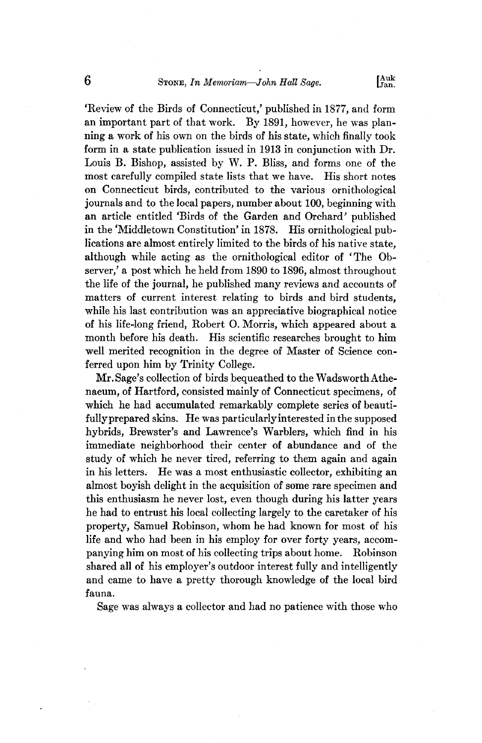**'Review of the Birds of Connecticut,' published in 1877, and form an important part of that work. By 1891, however, he was planning a work of his own on the birds of his state, which finally took form in a state publication issued in 1913 in conjunction with Dr. Louis B. Bishop, assisted by W. P. Bliss, and forms one of the most carefully compiled state lists that we have. His short notes on Connecticut birds, contributed to the various ornithological journals and to the local papers, number about 100, beginning with an article entitled 'Birds of the Garden and Orchard' published**  in the 'Middletown Constitution' in 1878. **lieations are almost entirely limited to the birds of his native state, although while acting as the ornithological editor of 'The Observer,' a post which he held from 1890 to 1896, almost throughout the life of the journal, he published many reviews and accounts of matters of current interest relating to birds and bird students, while his last contribution was an appreciative biographical notice of his life-long friend, Robert O. Morris, which appeared about a month before his death. His scientific researches brought to him**  well merited recognition in the degree of Master of Science con**ferred upon him by Trinity College.** 

**Mr. Sage's collection of birds bequeathed to the Wadsworth Athenaeum, of Hartford, consisted mainly of Connecticut specimens, of which he had accumulated remarkably complete series of beautifullyprepared skins. He was particularlyinterested in the supposed hybrids, Brewster's and Lawrenee's Warblers, which find in his immediate neighborhood their center of abundance and of the study of which he never tired, referring to them again and again in his letters.- He was a most enthusiastic collector, exhibiting an almost boyish delight in the acquisition of some rare specimen and this enthusiasm he never lost, even though during his latter years he had to entrust his local collecting largely to the caretaker of his property, Samuel Robinson, whom he had known for most of his life and who had been in his employ for over forty years, accom**panying him on most of his collecting trips about home. **shared all of his employer's outdoor interest fully and intelligently and came to have a pretty thorough knowledge of the local bird fauna.** 

**Sage was always a collector and had no patience with those who**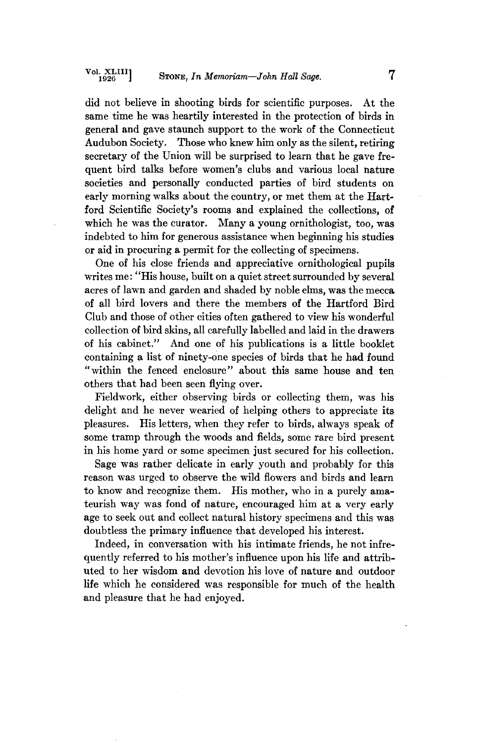**did not believe in shooting birds for scientific purposes. At the same time he was heartily interested in the protection of birds in general and gave staunch support to the work of the Connecticut Audubon Society. Those who knew him only as the silent, retiring secretary of the Union will be surprised to learn that he gave frequent bird talks before women's clubs and various local nature societies and personally conducted parties of bird students on early morning walks about the country, or met them at the Hartford Scientific Society's rooms and explained the collections, of which he was the curator. Many a young ornithologist, too, was indebted to him for generous assistance when beginning his studies or aid in procuring a permit for the collecting of specimens.** 

**One of his close friends and appreciative ornithological pupils writes me: "His house, built on a quiet street surrounded by several acres of lawn and garden and shaded by noble elms, was the mecca of all bird lovers and there the members of the Hartford Bird Club and those of other cities often gathered to view his wonderful collection of bird skins, all carefully labelled and laid in the drawers of his cabinet." And one of his publications is a little booklet containing a list of ninety-one species of birds that he had found "within the fenced enclosure" about this same house and ten others that had been seen flying over.** 

**Fieldwork, either observing birds or collecting them, was his delight and he never wearied of helping others to appreciate its pleasures. His letters, when they refer to birds, always speak of some tramp through the woods and fields, some rare bird present in his home yard or some specimen just secured for his collection.** 

**Sage was rather delicate in early youth and probably for this reason was urged to observe the wild flowers and birds and learn to know and recognize them. His mother, who in a purely amateurish way was fond of nature, encouraged him at a very early age to seek out and collect natural history specimens and this was doubtless the primary influence that developed his interest.** 

**Indeed, in conversation with his intimate friends, he not infrequently referred to his mother's influence upon his life and attributed to her wisdom and devotion his love of nature and outdoor life which he considered was responsible for much of the health and pleasure that he had enjoyed.**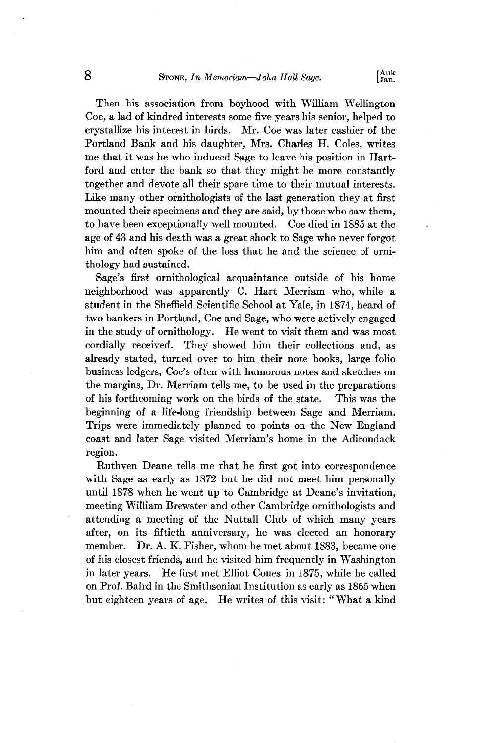**Then his association from boyhood with William Wellington Coe, a lad of kindred interests some five years his senior, helped to crystallize his interest in birds. Mr. Coe was later cashier of the Portland Bank and his daughter, Mrs. Charles H. Coles, writes me that it was he who induced Sage to leave his position in Hartford and enter the bank so that they might be more constantly together and devote all their spare time to their mutual interests. Like many other ornithologists of the last generation they at first mounted their specimens and they are said, by those who saw them, to have been exceptionally well mounted. Coe died in 1885 at the age of 43 and his death was a great shock to Sage who never forgot him and often spoke of the loss that he and the science of ornithology had sustained.** 

Sage's first ornithological acquaintance outside of his home **neighborhood was apparently C. Hart Merriam who, while a student in the Sheffield Scientific School at Yale, in 1874, heard of two bankers in Portland, Coe and Sage, who were actively engaged in the study of ornithology. He went to visit them and was most cordially received. They showed him their collections and, as already stated, turned over to him their note books, large folio business ledgers, Coe's often with humorous notes and sketches on the margins, Dr. Merriam tells me, to be used in the preparations**  of his forthcoming work on the birds of the state. beginning of a life-long friendship between Sage and Merriam. **Trips were immediately planned to points on the New England coast and later Sage visited Merriam's home in the Adirondack region.** 

**Ruthyen Deane tells me that he first got into correspondence with Sage as early as 1872 but he did not meet him personally until 1878 when he went up to Cambridge at Deane's invitation, meeting William Brewster and other Cambridge ornithologists and attending a meeting of the Nuttall Club of which many years after, on its fiftieth anniversary, he was elected an honorary**  member. Dr. A. K. Fisher, whom he met about 1883, became one **of his closest friends, and he visited him frequently in Washington in later years. He first met Elliot Coues in 1875, while he called on Prof. Baird in the Smlthsonian Institution as early as 1865 when but eighteen years of age. He writes of this visit: "What a kind**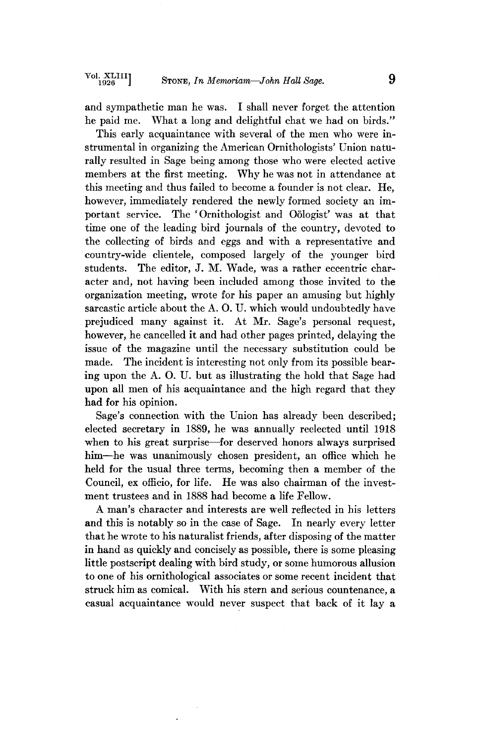**and sympathetic man he was. I shall never forget the attention he paid me. What a long and delightful chat we had on birds."** 

This early acquaintance with several of the men who were in**strumental in organizing the American Ornithologists' Union naturally resulted in Sage being among those who were elected active members at the first meeting. Why he was not in attendance at this meeting and thus failed to become a founder is not clear. He, however, immediately rendered the newly formed society an important service. The 'Ornithologist and 051ogist' was at that time one of the leading bird journals of the country, devoted to**  the collecting of birds and eggs and with a representative and **country-wide clientele, composed largely of the younger bird students. The editor, J. M. Wade, was a rather eccentric character and, not having been included among those invited to the organization meeting, wrote for his paper an amusing but highly**  sarcastic article about the A. O. U. which would undoubtedly have **prejudiced many against it. At Mr. Sage's personal request,**  however, he cancelled it and had other pages printed, delaying the **issue of the magazine until the necessary substitution could be made. The incident is interesting not only from its possible bearing upon the A. O. U. but as illustrating the hold that Sage had**  upon all men of his acquaintance and the high regard that they **had for his opinion.** 

Sage's connection with the Union has already been described; **elected secretary in 1889, he was annually reelected until 1918 when to his great surprise--for deserved honors always surprised him--he was unanimously chosen president, an office which he**  held for the usual three terms, becoming then a member of the **Council, ex officio, for life. He was also chairman of the investment trustees and in 1888 had become a life Fellow.** 

**A man's character and interests are well reflected in his letters and this is notably so in the case of Sage. In nearly every letter**  that he wrote to his naturalist friends, after disposing of the matter in hand as quickly and concisely as possible, there is some pleasing little postscript dealing with bird study, or some humorous allusion **to one of his ornithological associates or some recent incident that**  struck him as comical. With his stern and serious countenance, a casual acquaintance would never suspect that back of it lay a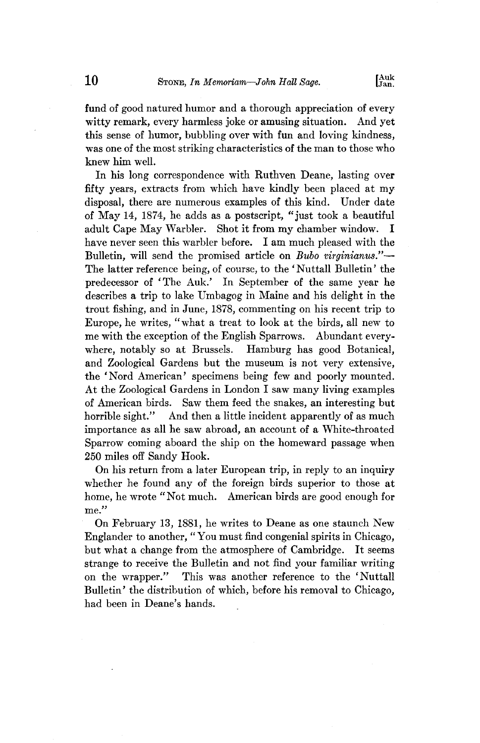**fund of good natured humor and a thorough appreciation of every witty remark, every harmless joke or amusing situation. And yet this sense of humor, bubbling over with fun and loving kindness, was one of the most striking characteristics of the man to those who knew him well.** 

**In his long correspondence with Ruthyen Deane, lasting over fifty years, extracts from which have kindly been placed at my disposal, there are numerous examples of this kind. Under date of May 14, 1874, he adds as a postscript, "just took a beautiful**  adult Cape May Warbler. Shot it from my chamber window. have never seen this warbler before. I am much pleased with the Bulletin, will send the promised article on *Bubo virginianus.*"-**The latter reference being, of course, to the 'Nuttall Bulletin' the predecessor of 'The Auk.' In September of the same year he describes atrip to lake Umbagog in Maine and his delight in the trout fishing, and in June, 1878, commenting on his recent trip to Europe, he writes, "what a treat to look at the birds, all new to me with the exception of the English Sparrows. Abundant everywhere, notably so at Brussels. Hamburg has good Botanical, and Zoological Gardens but the museum is not very extensive, the 'Nord American' specimens being few and poorly mounted. At the Zoological Gardens in London I saw many living examples of American birds. Saw them feed the snakes, an interesting but**  And then a little incident apparently of as much **importance as all he saw abroad, an account of a White-throated Sparrow coming aboard the ship on the homeward passage when 250 miles off Sandy Hook.** 

**On his return from a later European trip, in reply to an inquiry whether he found any of the foreign birds superior to those at home, he wrote "Not much. American birds are good enough for me."** 

**On February 13, 1881, he writes to Deane as one staunch New Englander to another, "You must find congenial spirits in Chicago, but what a change from the atmosphere of Cambridge. It seems strange to receive the Bulletin and not find your familiar writing**  This was another reference to the 'Nuttall **Bulletin' the distribution of which, before his removal to Chicago, had been in Deane's hands.**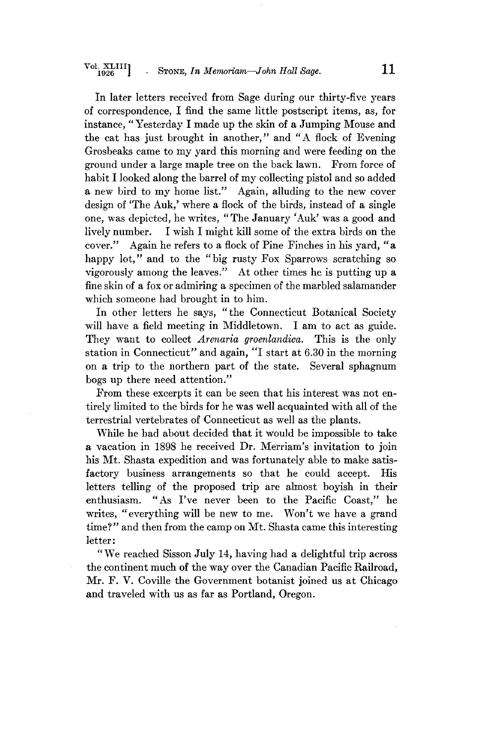**In later letters received from Sage during our thirty-five years of correspondence, I find the same little postscript items, as, for instance, "Yesterday I made up the skin of a Jumping Mouse and the eat has just brought in another," and "A flock of Evening Grosbeaks came to my yard this morning and were feeding on the ground under a large maple tree on the back lawn. From force of habit I looked along the barrel of my collecting pistol and so added a new bird to my home list." Again, alluding to the new cover**  design of 'The Auk,' where a flock of the birds, instead of a single **one, was depicted, he writes, "The January 'Auk' was a good and**  I wish I might kill some of the extra birds on the **cover." Again he refers to a flock of Pine Finches in his yard, "a happy lot," and to the "big rusty Fox Sparrows scratching so vigorously among the leaves." At other times he is putting up a fine skin of a fox or admiring a specimen of the marbled salamander which someone had brought in to him.** 

**In other letters he says, "the Connecticut Botanical Soeiety will have a field meeting in Middletown. I am to act as guide. They want to collect Arenaria groenlandica. This is the only station in Connecticut" and again, "I start at 6.30 in the morning on a trip to the northern part of the state. Several sphagnum bogs up there need attention."** 

**From these excerpts it can be seen that his interest was not entirely limited to the birds for he was well acquainted with all of the terrestrial vertebrates of Connecticut as well as the plants.** 

**While he had about decided that it would be impossible to take a vacation in 1898 he received Dr. Merriam's invitation to join his Mt. Shasta expedition and was fortunately able to make satisfactory business arrangements so that he could accept. His letters telling of the proposed trip are almost boyish in their**  "As I've never been to the Pacific Coast," he **writes, "everything will be new to me. Won't we have a grand time?" and then from the camp on Mt. Shasta came this interesting ]etter:** 

**"We reached Sisson July 14, having had a delightful trip across the continent much of the way over the Canadian Pacific Railroad,**  Mr. F. V. Coville the Government botanist joined us at Chicago **and traveled with us as far as Portland, Oregon.**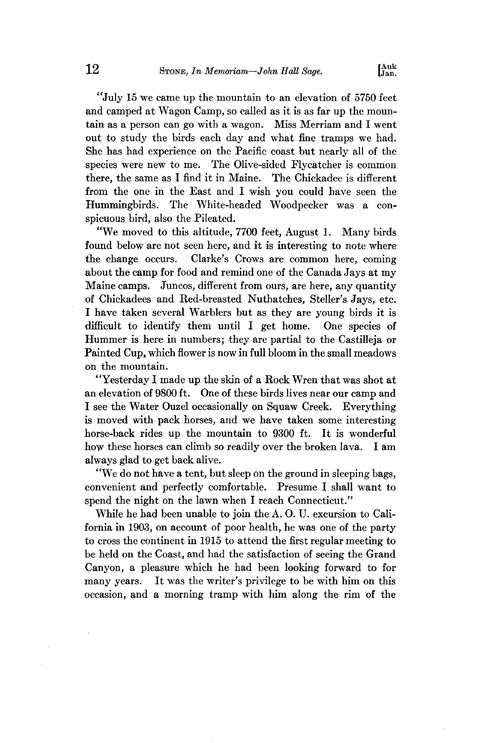**"July 15 we came up the mountain to an elevation of 5750 feet and camped at Wagon Camp, so called as it is as far up the mountain as a person can go with a wagon. Miss Merriam and I went out to study the birds each day and what fine tramps we had. She has had experience on the Pacific coast but nearly all of the species were new to me. The Olive-sided Elycatcher is common there, the same as I find it in Maine. The Chickadee is different from the one in the East and I wish you could have seen the Hummingbirds. The White-headed Woodpecker was a conspicuous bird, also the Pileated.** 

**"We moved to this altitude, 7700 feet, August 1. Many birds found below are not seen here, and it is interesting to note where the change occurs. Clarke's Crows are common here, coming about the camp for food and remind one of the Canada Jays at my Maine camps. Juncos, different from ours, are here, any quantity of Chickadees and Red-breasted Nuthatches, Steller's Jays, etc. I have taken several Warblers but as they are young birds it is difficult to identify them until I get home. One species of Hummer is here in numbers; they are partial to the Castilleja or Painted Cup, which flower is now in full bloom in the small meadows on the mountain.** 

**"Yesterday Imade up the skin of a Rock Wren that was shot at an elevation of 9800 ft. One of these birds lives near our camp and I see the Water Ouzel occasionally on Squaw Creek. Everything is moved with pack horses, and we have taken some interesting horse-back rides up the mountain to 9300 ft. It is wonderful how these horses can climb so readily over the broken lava. I am always glad to get back alive.** 

**"We do not have a tent, but sleep on the ground in sleeping bags, convenient and perfectly comfortable. Presume I shall want to spend the night on the lawn when I reach Connecticut."** 

**While he had been unable to join the A. O. U. excursion to California in 1903, on account of poor health, he was one of the party to cross the continent in 1915 to attend the first regular meeting to be held on the Coast, and had the satisfaction of seeing the Grand Canyon, a pleasure which he had been looking forward to for**  It was the writer's privilege to be with him on this **occasion, and a morning tramp with him along the rim of the**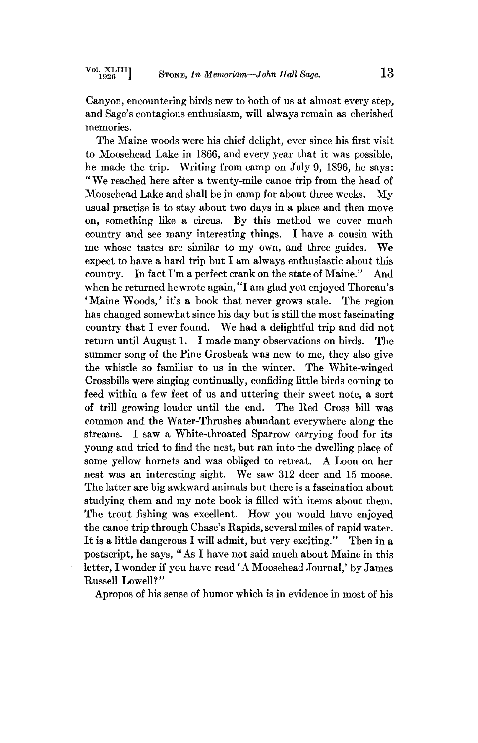**Canyon, encountering birds new to both of us at almost every step,**  and Sage's contagious enthusiasm, will always remain as cherished **memories.** 

**The Maine woods were his chief delight, ever since his first visit to Moosehead Lake in 1866, and every year that it was possible, he made the trip. Writing from camp on July 9, 1896, he says: "We reached here after a twenty-mile canoe trip from the head of Moosehead Lake and shall be in camp for about three weeks. My usual practise is to stay about two days in a place and then move on, something like a circus. By this method we cover much country and see many interesting things. I have a cousin with me whose tastes are similar to my own, and three guides. We expect to have a hard trip but I am always enthusiastic about this country. In fact I'm a perfect crank on the state of Maine." And when he returned hewrote again,"I am glad you enjoyed Thoreau's 'Maine Woods,' it's a book that never grows stale. The region has changed somewhat since his day but is still the most fascinating country that I ever found. We had a delightful trip and did not return until August 1. I made many observations on birds. The summer song of the Pine Grosbeak was new to me, they also give the whistle so familiar to us in the winter. The White-winged Crossbills were singing continually, confiding little birds coming to feed within a few feet of us and uttering their sweet note, a sort of trill growing louder until the end. The Red Cross bill was common and the Water-Thrushes abundant everywhere along the streams. I saw a White-throated Sparrow carrying food for its young and tried to find the nest, but ran into the dwelling place of some yellow hornets and was obliged to retreat. A Loon on her nest was an interesting sight. We saw 312 deer and 15 moose. The latter are big awkward animals but there is a fascination about studying them and my note book is filled with items about them. The trout fishing was excellent. How you would have enjoyed the canoe trip through Chase's Rapids, several miles of rapid water. It is a little dangerous I will admit, but very exciting." Then in a postscript, he says, "As I have not said much about Maine in this letter, I wonder if you have read' A Moosehead Journal,' by James Russell Lowell?"** 

**Apropos of his sense of humor which is in evidence in most of his**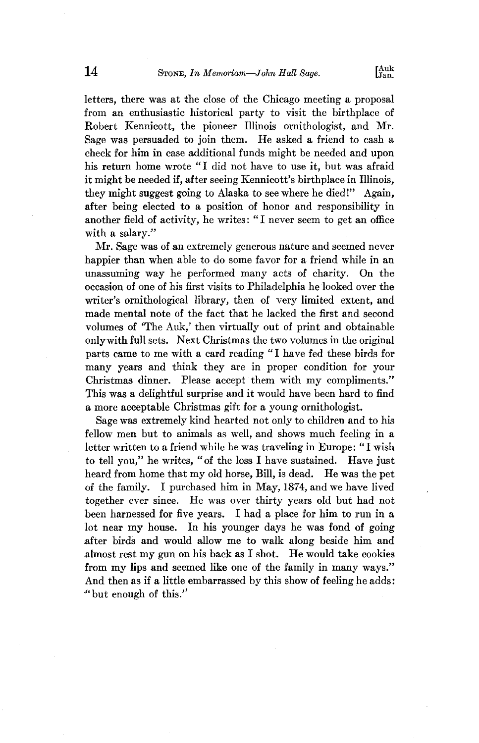**letters, there was at the close of the Chicago meeting a proposal from an enthusiastic historical party to visit the birthplace of Robert Kennicott, the pioneer Illinois ornithologist, and Mr. Sage was persuaded to join them. He asked a friend to cash a check for him in case additional funds might be needed and upon his return home wrote "I did not have to use it, but was afraid it might be needed if, after seeing Kennicott's birthplace in Illinois, they might suggest going to Alaska to see where he died!" Again, after being elected to a position of honor and responsibility in another field of activity, he writes: "I never seem to get an office with a salary."** 

**Mr. Sage was of an extremely generous nature and seemed never happier than when able to do some favor for a friend while in an unassuming way he performed many acts of charity. On the occasion of one of his first visits to Philadelphia he looked over the**  writer's ornithological library, then of very limited extent, and **made mental note of the fact that he lacked the first and second volumes of 'The Auk,' then virtually out of print and obtainable onlywith full sets. Next Christmas the two volumes in the original parts came to me with a card reading "I have fed these birds for many years and think they are in proper condition for your Christmas dinner. Please accept them with my compliments." This was a delightful surprise and it would have been hard to find a more acceptable Christmas gift for a young ornithologist.** 

**Sage was extremely kind hearted not only to children and to his fellow men but to animals as well, and shows much feeling in a letter written to a friend while he was traveling in Europe: "I wish to tell you," he writes, "of the loss I have sustained. Have just heard from home that my old horse, Bill, is dead. He was the pet of the family. I purchased him in May, 1874, and we have lived together ever since. He was over thirty years old but had not been harnessed for five years. I had a place for him to run in a lot near my house. In his younger days he was fond of going after birds and would allow me to walk along beside him and almost rest my gun on his back as I shot. He would take cookies from my lips and seemed like one of the family in many ways." And then as if a little embarrassed by this show of feeling he adds: •' but enough of this."**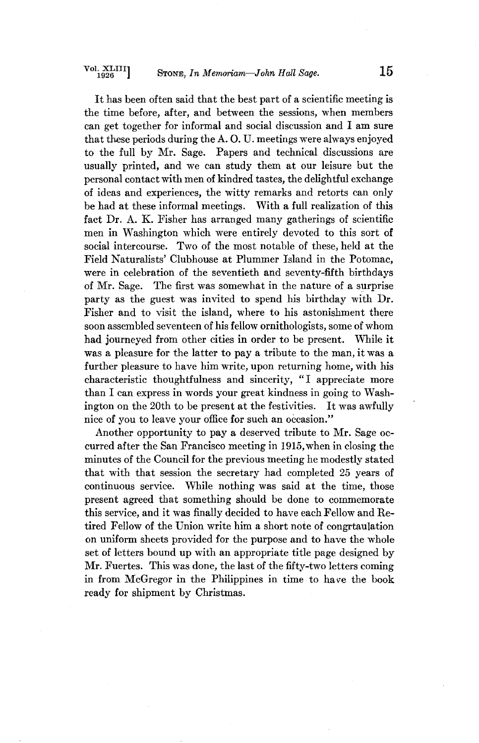**It has been often said that the best part of a scientific meeting is the time before, after, and between the sessions, when members can get together for informal and social discussion and I am sure that these periods during the A. O. U. meetings were always enjoyed to the full by Mr. Sage. Papers and technical discussions are usually printed, and we can study them at our leisure but the personal contact with men of kindred tastes, the delightful exchange of ideas and experiences, the witty remarks and retorts can only be had at these informal meetings. With a full realization of this**  fact Dr. A. K. Fisher has arranged many gatherings of scientific **men in Washington which were entirely devoted to this sort of social intercourse. Two of the most notable of these, held at the Field Naturalists' Clubhouse at Plummet Island in the Potomac, were in celebration of the seventieth and seventy-fifth birthdays of Mr. Sage. The first was somewhat in the nature of a surprise party as the guest was invited to spend his birthday with Dr. Fisher and to visit the island, where to his astonishment there soon assembled seventeen of his fellow ornithologists, some of whom had journeyed from other cities in order to be present. While it was a pleasure for the latter to pay a tribute to the man, it was a further pleasure to have him write, upon returning home, with his characteristic thoughtfulness and sincerity, "I appreciate more than I can express in words your great kindness in going to Washington on the 20th to be present at the festivities. It was awfully**  nice of you to leave your office for such an occasion."

**Another opportunity to pay a deserved tribute to Mr. Sage occurred after the San Francisco meeting in 1915, when in dosing the minutes of the Council for the previous meeting he modestly stated that with that session the secretary had completed 25 years of continuous service. While nothing was said at the time, those present agreed that something should be done to commemorate this service, and it was finally decided to have each Fellow and Retired Fellow of the Union write him a short note of eongrtaulation on uniform sheets provided for the purpose and to have the whole set of letters bound up with an appropriate title page designed by Mr. Fuertes. This was done, the last of the fifty-two letters coming in from McGregor in the Philippines in time to have the book ready for shipment by Christmas.**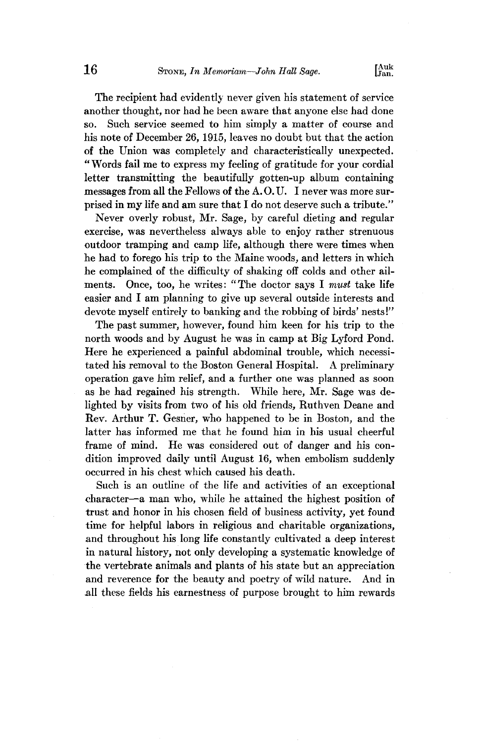**The recipient had evidently never given his statement of service another thought, nor had he been aware that anyone else had done so. Such service seemed to him simply a matter of course and his note of December 26, 1915, leaves no doubt but that the action of the Union was completely and characteristically unexpected. "Words fail me to express my feeling of gratitude for your cordial letter transmitting the beautifully gotten-up album containing messages from all the Fellows of the A. O.U. I never was more surprised in my life and am sure that I do not deserve such a tribute."** 

**Never overly robust, Mr. Sage, by careful dieting and regular exercise, was nevertheless always able to enjoy rather strenuous outdoor tramping and camp life, although there were times when he had to forego his trip to the Maine woods, and letters in which he complained of the diffleulty of shaking off colds and other ailments. Once, too, he writes: "The doctor says I must take life easier and I am planning to give up several outside interests and devote myself entirely to banking and the robbing of birds' nests l"** 

**The past summer, however, found him keen for his trip to the north woods and by August he was in camp at Big Lyford Pond. Here he experienced a painful abdominal trouble, which necessitated his removal to the Boston General Hospital. A preliminary operation gave him relief, and a further one was planned as soon as he had regained his strength. While here, Mr. Sage was delighted by visits from two of his old friends, Ruthyen Deane and Rev. Arthur T. Gesner, who happened to be in Boston, and the latter has informed me that he found him in his usual cheerful frame of mind. He was considered out of danger and his condition improved daily until August 16, when embolism suddenly occurred in his chest which caused his death.** 

**Such is an outline of the life and activities of an exceptional charaeter--a man who, while he attained the highest position of trust and honor in his chosen field of business activity, yet found time for helpful labors in religious and charitable organizations, and throughout his long life constantly cultivated a deep interest in natural history, not only developing a systematic knowledge of the vertebrate animals and plants of his state but an appreciation and reverence for the beauty and poetry of wild nature. And in all these fields his earnestness of purpose brought to him rewards**